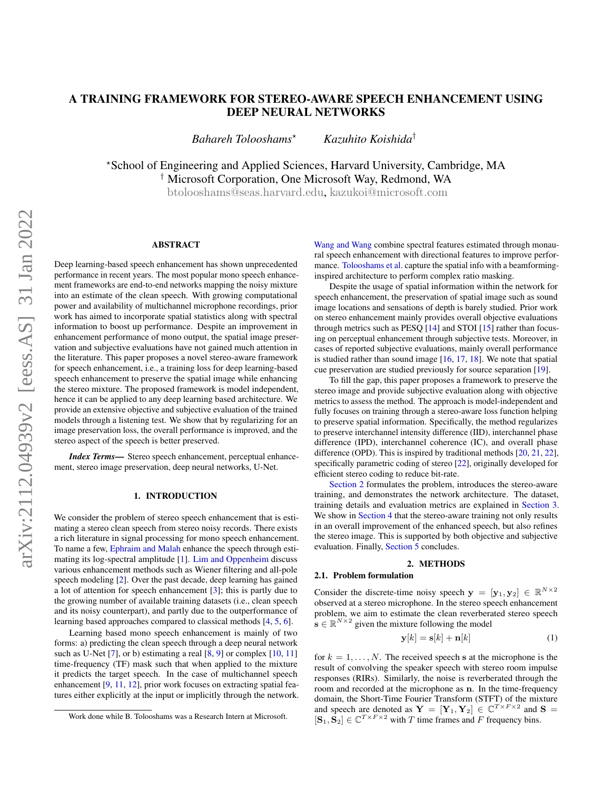# A TRAINING FRAMEWORK FOR STEREO-AWARE SPEECH ENHANCEMENT USING DEEP NEURAL NETWORKS

*Bahareh Tolooshams*? *Kazuhito Koishida*†

?School of Engineering and Applied Sciences, Harvard University, Cambridge, MA † Microsoft Corporation, One Microsoft Way, Redmond, WA [btolooshams@seas](mailto:btolooshams@seas.harvard.edu).harvard.edu, [kazukoi@microsoft](mailto:kazukoi@microsoft.com).com

#### ABSTRACT

Deep learning-based speech enhancement has shown unprecedented performance in recent years. The most popular mono speech enhancement frameworks are end-to-end networks mapping the noisy mixture into an estimate of the clean speech. With growing computational power and availability of multichannel microphone recordings, prior work has aimed to incorporate spatial statistics along with spectral information to boost up performance. Despite an improvement in enhancement performance of mono output, the spatial image preservation and subjective evaluations have not gained much attention in the literature. This paper proposes a novel stereo-aware framework for speech enhancement, i.e., a training loss for deep learning-based speech enhancement to preserve the spatial image while enhancing the stereo mixture. The proposed framework is model independent, hence it can be applied to any deep learning based architecture. We provide an extensive objective and subjective evaluation of the trained models through a listening test. We show that by regularizing for an image preservation loss, the overall performance is improved, and the stereo aspect of the speech is better preserved.

*Index Terms*— Stereo speech enhancement, perceptual enhancement, stereo image preservation, deep neural networks, U-Net.

### 1. INTRODUCTION

We consider the problem of stereo speech enhancement that is estimating a stereo clean speech from stereo noisy records. There exists a rich literature in signal processing for mono speech enhancement. To name a few, [Ephraim and Malah](#page-3-0) enhance the speech through estimating its log-spectral amplitude [\[1\]](#page-3-0). [Lim and Oppenheim](#page-4-0) discuss various enhancement methods such as Wiener filtering and all-pole speech modeling [\[2\]](#page-4-0). Over the past decade, deep learning has gained a lot of attention for speech enhancement [\[3\]](#page-4-1); this is partly due to the growing number of available training datasets (i.e., clean speech and its noisy counterpart), and partly due to the outperformance of learning based approaches compared to classical methods [\[4,](#page-4-2) [5,](#page-4-3) [6\]](#page-4-4).

Learning based mono speech enhancement is mainly of two forms: a) predicting the clean speech through a deep neural network such as U-Net [\[7\]](#page-4-5), or b) estimating a real [\[8,](#page-4-6) [9\]](#page-4-7) or complex [\[10,](#page-4-8) [11\]](#page-4-9) time-frequency (TF) mask such that when applied to the mixture it predicts the target speech. In the case of multichannel speech enhancement [\[9,](#page-4-7) [11,](#page-4-9) [12\]](#page-4-10), prior work focuses on extracting spatial features either explicitly at the input or implicitly through the network. [Wang and Wang](#page-4-11) combine spectral features estimated through monaural speech enhancement with directional features to improve performance. [Tolooshams et al.](#page-4-9) capture the spatial info with a beamforminginspired architecture to perform complex ratio masking.

Despite the usage of spatial information within the network for speech enhancement, the preservation of spatial image such as sound image locations and sensations of depth is barely studied. Prior work on stereo enhancement mainly provides overall objective evaluations through metrics such as PESQ [\[14\]](#page-4-12) and STOI [\[15\]](#page-4-13) rather than focusing on perceptual enhancement through subjective tests. Moreover, in cases of reported subjective evaluations, mainly overall performance is studied rather than sound image [\[16,](#page-4-14) [17,](#page-4-15) [18\]](#page-4-16). We note that spatial cue preservation are studied previously for source separation [\[19\]](#page-4-17).

To fill the gap, this paper proposes a framework to preserve the stereo image and provide subjective evaluation along with objective metrics to assess the method. The approach is model-independent and fully focuses on training through a stereo-aware loss function helping to preserve spatial information. Specifically, the method regularizes to preserve interchannel intensity difference (IID), interchannel phase difference (IPD), interchannel coherence (IC), and overall phase difference (OPD). This is inspired by traditional methods [\[20,](#page-4-18) [21,](#page-4-19) [22\]](#page-4-20), specifically parametric coding of stereo [\[22\]](#page-4-20), originally developed for efficient stereo coding to reduce bit-rate.

[Section 2](#page-0-0) formulates the problem, introduces the stereo-aware training, and demonstrates the network architecture. The dataset, training details and evaluation metrics are explained in [Section 3.](#page-1-0) We show in [Section 4](#page-2-0) that the stereo-aware training not only results in an overall improvement of the enhanced speech, but also refines the stereo image. This is supported by both objective and subjective evaluation. Finally, [Section 5](#page-3-1) concludes.

## 2. METHODS

# <span id="page-0-0"></span>2.1. Problem formulation

Consider the discrete-time noisy speech  $y = [y_1, y_2] \in \mathbb{R}^{N \times 2}$ observed at a stereo microphone. In the stereo speech enhancement problem, we aim to estimate the clean reverberated stereo speech  $\mathbf{s} \in \mathbb{R}^{N \times 2}$  given the mixture following the model

$$
\mathbf{y}[k] = \mathbf{s}[k] + \mathbf{n}[k] \tag{1}
$$

for  $k = 1, \ldots, N$ . The received speech s at the microphone is the result of convolving the speaker speech with stereo room impulse responses (RIRs). Similarly, the noise is reverberated through the room and recorded at the microphone as n. In the time-frequency domain, the Short-Time Fourier Transform (STFT) of the mixture and speech are denoted as  $Y = [Y_1, Y_2] \in \mathbb{C}^{T \times F \times 2}$  and  $S =$  $[\mathbf{S}_1, \mathbf{S}_2] \in \mathbb{C}^{T \times F \times 2}$  with T time frames and F frequency bins.

Work done while B. Tolooshams was a Research Intern at Microsoft.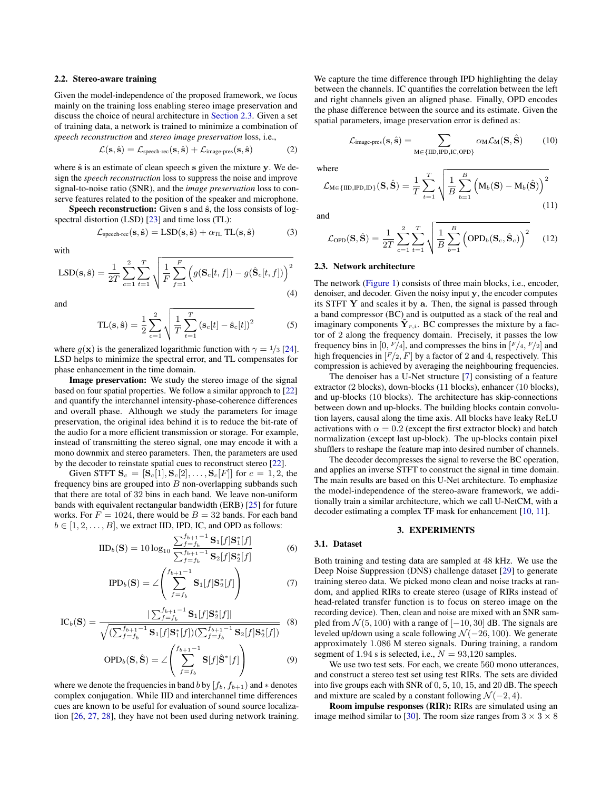#### 2.2. Stereo-aware training

Given the model-independence of the proposed framework, we focus mainly on the training loss enabling stereo image preservation and discuss the choice of neural architecture in [Section 2.3.](#page-1-1) Given a set of training data, a network is trained to minimize a combination of *speech reconstruction* and *stereo image preservation* loss, i.e.,

$$
\mathcal{L}(\mathbf{s}, \hat{\mathbf{s}}) = \mathcal{L}_{\text{speech-rec}}(\mathbf{s}, \hat{\mathbf{s}}) + \mathcal{L}_{\text{image-pres}}(\mathbf{s}, \hat{\mathbf{s}}) \tag{2}
$$

where  $\hat{s}$  is an estimate of clean speech s given the mixture y. We design the *speech reconstruction* loss to suppress the noise and improve signal-to-noise ratio (SNR), and the *image preservation* loss to conserve features related to the position of the speaker and microphone.

Speech reconstruction: Given s and  $\hat{s}$ , the loss consists of logspectral distortion (LSD) [\[23\]](#page-4-21) and time loss (TL):

$$
\mathcal{L}_{\text{speech-rec}}(\mathbf{s}, \hat{\mathbf{s}}) = \text{LSD}(\mathbf{s}, \hat{\mathbf{s}}) + \alpha_{\text{TL}} \text{ TL}(\mathbf{s}, \hat{\mathbf{s}}) \tag{3}
$$

with

$$
LSD(s, \hat{s}) = \frac{1}{2T} \sum_{c=1}^{2} \sum_{t=1}^{T} \sqrt{\frac{1}{F} \sum_{f=1}^{F} \left( g(S_c[t, f]) - g(\hat{S}_c[t, f]) \right)^2}
$$
(4)

and

$$
TL(s, \hat{s}) = \frac{1}{2} \sum_{c=1}^{2} \sqrt{\frac{1}{T} \sum_{t=1}^{T} (s_c[t] - \hat{s}_c[t])^2}
$$
(5)

where  $g(\mathbf{x})$  is the generalized logarithmic function with  $\gamma = \frac{1}{3}$  [\[24\]](#page-4-22). LSD helps to minimize the spectral error, and TL compensates for phase enhancement in the time domain.

Image preservation: We study the stereo image of the signal based on four spatial properties. We follow a similar approach to [\[22\]](#page-4-20) and quantify the interchannel intensity-phase-coherence differences and overall phase. Although we study the parameters for image preservation, the original idea behind it is to reduce the bit-rate of the audio for a more efficient transmission or storage. For example, instead of transmitting the stereo signal, one may encode it with a mono downmix and stereo parameters. Then, the parameters are used by the decoder to reinstate spatial cues to reconstruct stereo [\[22\]](#page-4-20).

Given STFT  $S_c = [\mathbf{S}_c[1], \mathbf{S}_c[2], \ldots, \mathbf{S}_c[F]]$  for  $c = 1, 2$ , the frequency bins are grouped into  $B$  non-overlapping subbands such that there are total of 32 bins in each band. We leave non-uniform bands with equivalent rectangular bandwidth (ERB) [\[25\]](#page-4-23) for future works. For  $F = 1024$ , there would be  $B = 32$  bands. For each band  $b \in [1, 2, \ldots, B]$ , we extract IID, IPD, IC, and OPD as follows:

$$
IID_{b}(\mathbf{S}) = 10 \log_{10} \frac{\sum_{f=f_{b}}^{f_{b+1}-1} \mathbf{S}_{1}[f] \mathbf{S}_{1}^{*}[f]}{\sum_{f=f_{b}}^{f_{b+1}-1} \mathbf{S}_{2}[f] \mathbf{S}_{2}^{*}[f]} \tag{6}
$$

$$
\text{IPD}_b(\mathbf{S}) = \angle \left( \sum_{f=f_b}^{f_{b+1}-1} \mathbf{S}_1[f] \mathbf{S}_2^*[f] \right) \tag{7}
$$

$$
IC_b(S) = \frac{|\sum_{f=f_b}^{f_{b+1}-1} S_1[f] S_2^*[f]|}{\sqrt{(\sum_{f=f_b}^{f_{b+1}-1} S_1[f] S_1^*[f])(\sum_{f=f_b}^{f_{b+1}-1} S_2[f] S_2^*[f])}}
$$
(8)

$$
\text{OPD}_b(\mathbf{S}, \hat{\mathbf{S}}) = \angle \left( \sum_{f=f_b}^{f_{b+1}-1} \mathbf{S}[f] \hat{\mathbf{S}}^* [f] \right) \tag{9}
$$

where we denote the frequencies in band b by  $[f_b, f_{b+1}]$  and  $*$  denotes complex conjugation. While IID and interchannel time differences cues are known to be useful for evaluation of sound source localization [\[26,](#page-4-24) [27,](#page-4-25) [28\]](#page-4-26), they have not been used during network training. We capture the time difference through IPD highlighting the delay between the channels. IC quantifies the correlation between the left and right channels given an aligned phase. Finally, OPD encodes the phase difference between the source and its estimate. Given the spatial parameters, image preservation error is defined as:

$$
\mathcal{L}_{\text{image-pres}}(\mathbf{s}, \hat{\mathbf{s}}) = \sum_{M \in \{\text{IID}, \text{IPD}, \text{IC}, \text{OPD}\}} \alpha_M \mathcal{L}_M(\mathbf{S}, \hat{\mathbf{S}}) \tag{10}
$$

where

where  

$$
\mathcal{L}_{\mathrm{M} \in \{\mathrm{IID}, \mathrm{IPD}, \mathrm{ID}\}}(\mathbf{S}, \hat{\mathbf{S}}) = \frac{1}{T} \sum_{t=1}^{T} \sqrt{\frac{1}{B} \sum_{b=1}^{B} (\mathbf{M}_b(\mathbf{S}) - \mathbf{M}_b(\hat{\mathbf{S}}))}^2
$$
(11)

and

$$
\mathcal{L}_{\text{OPD}}(\mathbf{S}, \hat{\mathbf{S}}) = \frac{1}{2T} \sum_{c=1}^{2} \sum_{t=1}^{T} \sqrt{\frac{1}{B} \sum_{b=1}^{B} (\text{OPD}_b(\mathbf{S}_c, \hat{\mathbf{S}}_c))}^2 \quad (12)
$$

#### <span id="page-1-1"></span>2.3. Network architecture

The network [\(Figure 1\)](#page-2-1) consists of three main blocks, i.e., encoder, denoiser, and decoder. Given the noisy input y, the encoder computes its STFT Y and scales it by a. Then, the signal is passed through a band compressor (BC) and is outputted as a stack of the real and imaginary components  $\tilde{\mathbf{Y}}_{r,i}$ . BC compresses the mixture by a factor of 2 along the frequency domain. Precisely, it passes the low frequency bins in [0,  $F/4$ ], and compresses the bins in  $[F/4, F/2]$  and high frequencies in  $[F/2, F]$  by a factor of 2 and 4, respectively. This compression is achieved by averaging the neighbouring frequencies.

The denoiser has a U-Net structure [\[7\]](#page-4-5) consisting of a feature extractor (2 blocks), down-blocks (11 blocks), enhancer (10 blocks), and up-blocks (10 blocks). The architecture has skip-connections between down and up-blocks. The building blocks contain convolution layers, causal along the time axis. All blocks have leaky ReLU activations with  $\alpha = 0.2$  (except the first extractor block) and batch normalization (except last up-block). The up-blocks contain pixel shufflers to reshape the feature map into desired number of channels.

The decoder decompresses the signal to reverse the BC operation, and applies an inverse STFT to construct the signal in time domain. The main results are based on this U-Net architecture. To emphasize the model-independence of the stereo-aware framework, we additionally train a similar architecture, which we call U-NetCM, with a decoder estimating a complex TF mask for enhancement [\[10,](#page-4-8) [11\]](#page-4-9).

#### 3. EXPERIMENTS

#### <span id="page-1-0"></span>3.1. Dataset

Both training and testing data are sampled at 48 kHz. We use the Deep Noise Suppression (DNS) challenge dataset [\[29\]](#page-4-27) to generate training stereo data. We picked mono clean and noise tracks at random, and applied RIRs to create stereo (usage of RIRs instead of head-related transfer function is to focus on stereo image on the recording device). Then, clean and noise are mixed with an SNR sampled from  $\mathcal{N}(5, 100)$  with a range of  $[-10, 30]$  dB. The signals are leveled up/down using a scale following  $\mathcal{N}(-26, 100)$ . We generate approximately 1.086 M stereo signals. During training, a random segment of 1.94 s is selected, i.e.,  $N = 93,120$  samples.

We use two test sets. For each, we create 560 mono utterances, and construct a stereo test set using test RIRs. The sets are divided into five groups each with SNR of 0, 5, 10, 15, and 20 dB. The speech and mixture are scaled by a constant following  $\mathcal{N}(-2, 4)$ .

Room impulse responses (RIR): RIRs are simulated using an image method similar to [\[30\]](#page-4-28). The room size ranges from  $3 \times 3 \times 8$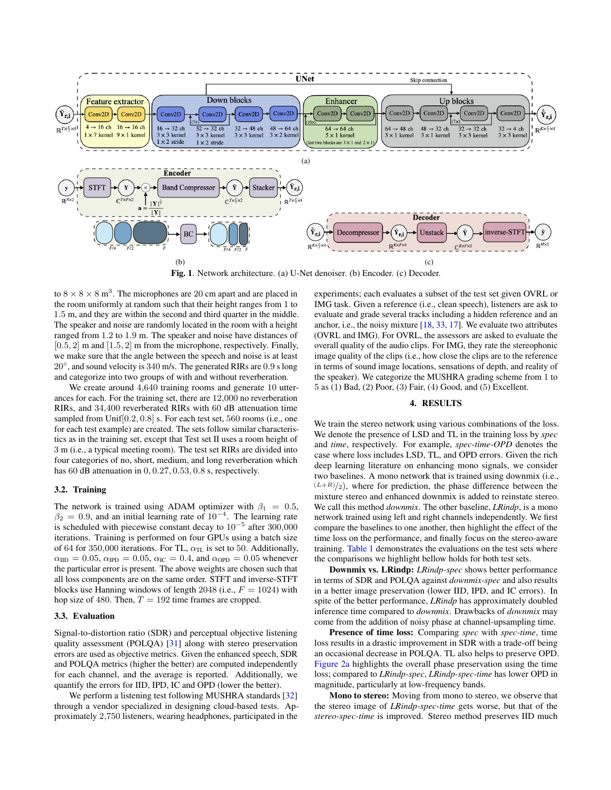<span id="page-2-1"></span>

Fig. 1. Network architecture. (a) U-Net denoiser. (b) Encoder. (c) Decoder.

to  $8 \times 8 \times 8$  m<sup>3</sup>. The microphones are 20 cm apart and are placed in the room uniformly at random such that their height ranges from 1 to 1.5 m, and they are within the second and third quarter in the middle. The speaker and noise are randomly located in the room with a height ranged from 1.2 to 1.9 m. The speaker and noise have distances of  $[0.5, 2]$  m and  $[1.5, 2]$  m from the microphone, respectively. Finally, we make sure that the angle between the speech and noise is at least 20◦ , and sound velocity is 340 m/s. The generated RIRs are 0.9 s long and categorize into two groups of with and without reverberation.

We create around  $4,640$  training rooms and generate 10 utterances for each. For the training set, there are 12,000 no reverberation RIRs, and 34,400 reverberated RIRs with 60 dB attenuation time sampled from Unif[0.2, 0.8] s. For each test set, 560 rooms (i.e., one for each test example) are created. The sets follow similar characteristics as in the training set, except that Test set II uses a room height of 3 m (i.e., a typical meeting room). The test set RIRs are divided into four categories of no, short, medium, and long reverberation which has 60 dB attenuation in  $0, 0.27, 0.53, 0.8$  s, respectively.

#### 3.2. Training

The network is trained using ADAM optimizer with  $\beta_1 = 0.5$ ,  $\beta_2 = 0.9$ , and an initial learning rate of  $10^{-4}$ . The learning rate is scheduled with piecewise constant decay to  $10^{-5}$  after 300,000 iterations. Training is performed on four GPUs using a batch size of 64 for 350,000 iterations. For TL,  $\alpha_{TL}$  is set to 50. Additionally,  $\alpha_{\text{IID}} = 0.05$ ,  $\alpha_{\text{IPD}} = 0.05$ ,  $\alpha_{\text{IC}} = 0.4$ , and  $\alpha_{\text{OPD}} = 0.05$  whenever the particular error is present. The above weights are chosen such that all loss components are on the same order. STFT and inverse-STFT blocks use Hanning windows of length 2048 (i.e.,  $F = 1024$ ) with hop size of 480. Then,  $T = 192$  time frames are cropped.

#### 3.3. Evaluation

Signal-to-distortion ratio (SDR) and perceptual objective listening quality assessment (POLQA) [\[31\]](#page-4-29) along with stereo preservation errors are used as objective metrics. Given the enhanced speech, SDR and POLQA metrics (higher the better) are computed independently for each channel, and the average is reported. Additionally, we quantify the errors for IID, IPD, IC and OPD (lower the better).

We perform a listening test following MUSHRA standards [\[32\]](#page-4-30) through a vendor specialized in designing cloud-based tests. Approximately 2,750 listeners, wearing headphones, participated in the experiments; each evaluates a subset of the test set given OVRL or IMG task. Given a reference (i.e., clean speech), listeners are ask to evaluate and grade several tracks including a hidden reference and an anchor, i.e., the noisy mixture [\[18,](#page-4-16) [33,](#page-4-31) [17\]](#page-4-15). We evaluate two attributes (OVRL and IMG). For OVRL, the assessors are asked to evaluate the overall quality of the audio clips. For IMG, they rate the stereophonic image quality of the clips (i.e., how close the clips are to the reference in terms of sound image locations, sensations of depth, and reality of the speaker). We categorize the MUSHRA grading scheme from 1 to 5 as (1) Bad, (2) Poor, (3) Fair, (4) Good, and (5) Excellent.

### 4. RESULTS

<span id="page-2-0"></span>We train the stereo network using various combinations of the loss. We denote the presence of LSD and TL in the training loss by *spec* and *time*, respectively. For example, *spec*-*time*-*OPD* denotes the case where loss includes LSD, TL, and OPD errors. Given the rich deep learning literature on enhancing mono signals, we consider two baselines. A mono network that is trained using downmix (i.e.,  $(L+R)/2$ , where for prediction, the phase difference between the mixture stereo and enhanced downmix is added to reinstate stereo. We call this method *downmix*. The other baseline, *LRindp*, is a mono network trained using left and right channels independently. We first compare the baselines to one another, then highlight the effect of the time loss on the performance, and finally focus on the stereo-aware training. [Table 1](#page-3-2) demonstrates the evaluations on the test sets where the comparisons we highlight bellow holds for both test sets.

Downmix vs. LRindp: *LRindp-spec* shows better performance in terms of SDR and POLQA against *downmix-spec* and also results in a better image preservation (lower IID, IPD, and IC errors). In spite of the better performance, *LRindp* has approximately doubled inference time compared to *downmix*. Drawbacks of *downmix* may come from the addition of noisy phase at channel-upsampling time.

Presence of time loss: Comparing *spec* with *spec-time*, time loss results in a drastic improvement in SDR with a trade-off being an occasional decrease in POLQA. TL also helps to preserve OPD. [Figure 2a](#page-3-3) highlights the overall phase preservation using the time loss; compared to *LRindp-spec*, *LRindp-spec-time* has lower OPD in magnitude, particularly at low-frequency bands.

Mono to stereo: Moving from mono to stereo, we observe that the stereo image of *LRindp-spec-time* gets worse, but that of the *stereo-spec-time* is improved. Stereo method preserves IID much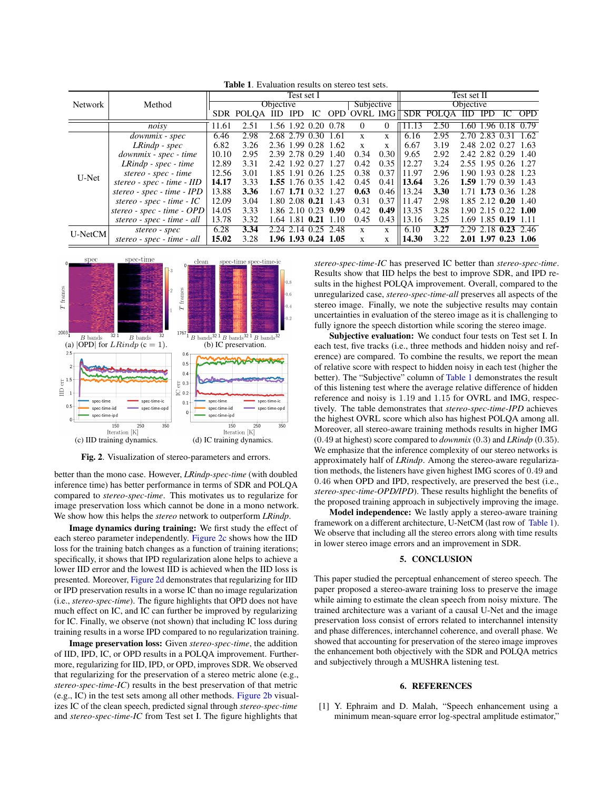<span id="page-3-2"></span>

| Network | Method                       | Test set I       |                   |                     |  |                     |             |                     |              | Test set II      |                   |      |                     |      |                       |
|---------|------------------------------|------------------|-------------------|---------------------|--|---------------------|-------------|---------------------|--------------|------------------|-------------------|------|---------------------|------|-----------------------|
|         |                              | <b>Objective</b> |                   |                     |  |                     |             | Subjective          |              | <b>Objective</b> |                   |      |                     |      |                       |
|         |                              |                  | SDR POLOA IID IPD |                     |  | IC                  |             | <b>OPD OVRL IMG</b> |              |                  | SDR POLOA IID IPD |      |                     | IC   | <b>OPD</b>            |
|         | noisy                        | 11.61            | 2.51              |                     |  | .56 1.92 0.20       | 0.78        | $\left($            | $\Omega$     | 11.13            | 2.50              |      |                     |      | 1.60 1.96 0.18 0.79   |
| U-Net   | downmix - spec               | 6.46             | 2.98              | 2.68                |  | 2.79 0.30           | 1.61        | $\mathbf{x}$        | X            | 6.16             | 2.95              | 2.70 | 2.83                | 0.31 | -1.62                 |
|         | $LRindp$ - $spec$            | 6.82             | 3.26              | 2.36 1.99 0.28 1.62 |  |                     |             | $\mathbf x$         | $\mathbf x$  | 6.67             | 3.19              |      |                     |      | 2.48 2.02 0.27 1.63   |
|         | downmix - spec - time        | 10.10            | 2.95              | 2.39 2.78 0.29 1.40 |  |                     |             | 0.34                | 0.30         | 9.65             | 2.92              |      |                     |      | 2.42 2.82 0.29 1.40   |
|         | $LRindp$ - $spec$ - $time$   | 12.89            | 3.31              | 2.42 1.92 0.27 1.27 |  |                     |             | 0.42                | 0.35         | 12.27            | 3.24              |      |                     |      | 2.55 1.95 0.26 1.27   |
|         | stereo - spec - time         | 12.56            | 3.01              |                     |  | 1.85 1.91 0.26 1.25 |             | 0.38                | 0.37         | 11.97            | 2.96              |      |                     |      | 1.90 1.93 0.28 1.23   |
|         | $stereo - spec - time - IID$ | 14.17            | 3.33              | 1.55 1.76 0.35 1.42 |  |                     |             | 0.45                | 0.41         | 13.64            | 3.26              |      |                     |      | 1.59 1.79 0.39 1.43   |
|         | stereo - spec - time - IPD   | 13.88            | 3.36              |                     |  | 1.67 1.71 0.32      | 1.27        | 0.63                | 0.46         | 13.24            | 3.30              |      |                     |      | 1.71 1.73 0.36 1.28   |
|         | stereo - spec - time - $IC$  | 12.09            | 3.04              |                     |  | 1.80 2.08 0.21 1.43 |             | 0.31                | 0.37         | 11.47            | 2.98              |      |                     |      | $1.85$ 2.12 0.20 1.40 |
|         | stereo - $spec$ - time - OPD | 14.05            | 3.33              |                     |  | 1.86 2.10 0.23 0.99 |             | 0.42                | 0.49         | 13.35            | 3.28              |      |                     |      | $1.90$ 2.15 0.22 1.00 |
|         | stereo - spec - time - all   | 13.78            | 3.32              | 1.64 1.81           |  |                     | $0.21$ 1.10 | 0.45                | 0.43         | 13.16            | 3.25              |      | 1.69 1.85 0.19 1.11 |      |                       |
| U-NetCM | stereo - spec                | 6.28             | 3.34              | 2.24 2.14 0.25 2.48 |  |                     |             | X                   | X            | 6.10             | 3.27              |      |                     |      | 2.29 2.18 0.23 2.46   |
|         | stereo - spec - time - all   | 15.02            | 3.28              |                     |  | 1.96 1.93 0.24 1.05 |             | X                   | $\mathbf{x}$ | 14.30            | 3.22              |      |                     |      | 2.01 1.97 0.23 1.06   |



<span id="page-3-3"></span>

Fig. 2. Visualization of stereo-parameters and errors.

better than the mono case. However, *LRindp-spec-time* (with doubled inference time) has better performance in terms of SDR and POLQA compared to *stereo-spec-time*. This motivates us to regularize for image preservation loss which cannot be done in a mono network. We show how this helps the *stereo* network to outperform *LRindp*.

Image dynamics during training: We first study the effect of each stereo parameter independently. [Figure 2c](#page-3-3) shows how the IID loss for the training batch changes as a function of training iterations; specifically, it shows that IPD regularization alone helps to achieve a lower IID error and the lowest IID is achieved when the IID loss is presented. Moreover, [Figure 2d](#page-3-3) demonstrates that regularizing for IID or IPD preservation results in a worse IC than no image regularization (i.e., *stereo-spec-time*). The figure highlights that OPD does not have much effect on IC, and IC can further be improved by regularizing for IC. Finally, we observe (not shown) that including IC loss during training results in a worse IPD compared to no regularization training.

Image preservation loss: Given *stereo-spec-time*, the addition of IID, IPD, IC, or OPD results in a POLQA improvement. Furthermore, regularizing for IID, IPD, or OPD, improves SDR. We observed that regularizing for the preservation of a stereo metric alone (e.g., *stereo-spec-time-IC*) results in the best preservation of that metric (e.g., IC) in the test sets among all other methods. [Figure 2b](#page-3-3) visualizes IC of the clean speech, predicted signal through *stereo-spec-time* and *stereo-spec-time-IC* from Test set I. The figure highlights that

*stereo-spec-time-IC* has preserved IC better than *stereo-spec-time*. Results show that IID helps the best to improve SDR, and IPD results in the highest POLQA improvement. Overall, compared to the unregularized case, *stereo-spec-time-all* preserves all aspects of the stereo image. Finally, we note the subjective results may contain uncertainties in evaluation of the stereo image as it is challenging to fully ignore the speech distortion while scoring the stereo image.

Subjective evaluation: We conduct four tests on Test set I. In each test, five tracks (i.e., three methods and hidden noisy and reference) are compared. To combine the results, we report the mean of relative score with respect to hidden noisy in each test (higher the better). The "Subjective" column of [Table 1](#page-3-2) demonstrates the result of this listening test where the average relative difference of hidden reference and noisy is 1.19 and 1.15 for OVRL and IMG, respectively. The table demonstrates that *stereo-spec-time-IPD* achieves the highest OVRL score which also has highest POLQA among all. Moreover, all stereo-aware training methods results in higher IMG (0.49 at highest) score compared to *downmix* (0.3) and *LRindp* (0.35). We emphasize that the inference complexity of our stereo networks is approximately half of *LRindp*. Among the stereo-aware regularization methods, the listeners have given highest IMG scores of 0.49 and 0.46 when OPD and IPD, respectively, are preserved the best (i.e., *stereo-spec-time-OPD/IPD*). These results highlight the benefits of the proposed training approach in subjectively improving the image.

Model independence: We lastly apply a stereo-aware training framework on a different architecture, U-NetCM (last row of [Table 1\)](#page-3-2). We observe that including all the stereo errors along with time results in lower stereo image errors and an improvement in SDR.

#### 5. CONCLUSION

<span id="page-3-1"></span>This paper studied the perceptual enhancement of stereo speech. The paper proposed a stereo-aware training loss to preserve the image while aiming to estimate the clean speech from noisy mixture. The trained architecture was a variant of a causal U-Net and the image preservation loss consist of errors related to interchannel intensity and phase differences, interchannel coherence, and overall phase. We showed that accounting for preservation of the stereo image improves the enhancement both objectively with the SDR and POLQA metrics and subjectively through a MUSHRA listening test.

## 6. REFERENCES

<span id="page-3-0"></span>[1] Y. Ephraim and D. Malah, "Speech enhancement using a minimum mean-square error log-spectral amplitude estimator,"